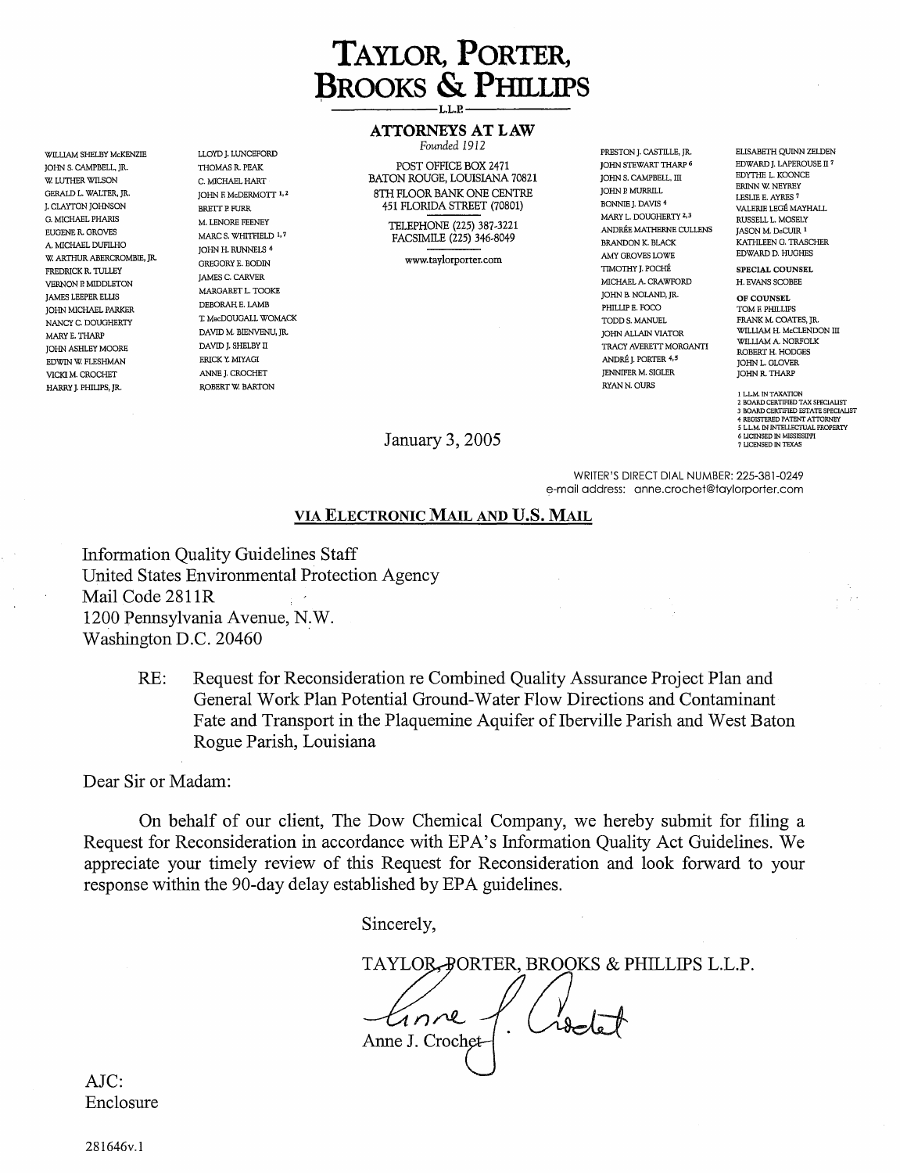## **TAYLOR, PORTER, BROOKS & PHILLIPS Example 1 AND CONSUMER 1 AND LOCKER**

JOHN S. CAMPBELL, JR. W. LUTHER WILSON GERALD L. WALTER, JR. G. MICHAEL PHARIS EUGENE R. GROVES A. MICHAEL DUFILHO W. ARTHUR ABERCROMBIE, JR. FREDRICK R. TULLEY VERNON P. MIDDLETON JAMES LEEPER ELLIS JOHN MICHAEL PARKER<br>NANCY C. DOUGHERTY NANCY C. DOUGHERTY T. MacDOUGALL WOMACK TODD S. MANUEL TODD S. MANUEL FRANK M. COATES, JR. AND TODD S. MANUEL MARYE. THARP JOHN ASHLEY MOORE HARRY **J.** PHILIPS, JR. ROBERT W. BARTON RYANN.OURS I LLM.INTAXATION

THOMAS R. PEAK C. MICHAEL HART JOHN RMcDERMOTT 1,2 M. LENORE FEENEY MARC S. WHITFIELD 1,7 JOHN H. RUNNELS 4 GREGORY E. BODIN JAMES C. CARVER MARGARET L. TOOKE DEBORAH E. LAMB DAVID M. BIENVENU, JR. DAYID J. SHELBY II

# **ATTORNEYS AT LAW**

POST OFFICE BOX 2471 BATON ROUGE, LOUISIANA 70821 8TH FLOOR BANK ONE CENTRE J. CLAYTON JOHNSON BRETT P. FURR 451 FLORIDA STREET (70801)

> TELEPHONE (225) 387-3221 FACSIMILE (225) 346-8049

> > www.taylorporter.com

JOHN STEWART THARP 6 JOHN S. CAMPBELL, III JOHN P. MURRILL<br>BONNIE J. DAVIS <sup>4</sup> MARY L. DOUGHERTY 2,3 ANDREE MATHERNE CULLENS BRANDON K. BLACK AMY GROVES LOWE TIMOTHY J. POCHE MICHAELA. CRAWFORD JOHN B. NOLAND, JR. PHILLIP E. FOCO JOHN ALLAIN VIATOR TRACY AVERETT MORGANTI EDWIN W. FLESHMAN ERICK Y. MIYAGI ANDREJ. PORTER 4,5 JOHN L. GLOVER VICKI M. CROCHET ANNE J. CROCHET JENNIFER M. SIGLER JOHN R. THARP

WILLIAM SHELBY McKENZIE LLOYD J. LUNCEFORD *Founded 1912* PRESTON J. CASillLE, JR. ELISABETH QUINN ZELDEN EDWARD J. LAPEROUSE II 7 EDYTHE L. KOONCE ERINN W. NEYREY LESLIE E. AYRES 7<br>VALERIE LEGÉ MAYHALL RUSSELL L. MOSELY JASON M. DeCUIR 1 KATHLEEN G. TRASCHER EDWARD D. HUGHES

> SPECIAL COUNSEL H. EVANS SCOBEE

OF COUNSEL TOM F. PHILLIPS<br>FRANK M. COATES. IR. WILLIAM H. McCLENDON III WILLIAM A. NORFOLK ROBERT H. HODGES<br>JOHN L. GLOVER

2 BOARD CERTIFIED TAX SPECIALIST<br>3 BOARD CERTIFIED ESTATE SPECIALIST<br>4 REGISTERED PATENT ATTORNEY<br>5 L.L.M. IN INTELLECTUAL PROPERTY 7 LlCENSED IN TEXAS

**January 3, 2005 6 LICENSED IN MISSISSIPPI** 

WRITER'S DIRECT DIAL NUMBER: 225-381-0249 e-mail address: [anne.crochet@taylorporter.com](mailto:anne.crochet@taylorporter.com)

#### **VIA ELECTRONIC MAIL AND U.S. MAIL**

**Information Quality Guidelines Staff United States Environmental Protection Agency Mail Code 281 lR**  1200 Pennsylvania Avenue, N.W. **Washington D.C. 20460** 

> **RE: Request for Reconsideration re Combined Quality Assurance Project Plan and General Work Plan Potential Ground-Water Flow Directions and Contaminant Fate and Transport in the Plaquemine Aquifer of Iberville Parish and West Baton Rogue Parish, Louisiana**

**Dear Sir or Madam:** 

**On behalf of our client, The Dow Chemical Company, we hereby submit for filing a Request for Reconsideration in accordance with EPA's Information Quality Act Guidelines. We appreciate your timely review of this Request for Reconsideration and look forward to your response within the 90-day delay established by EPA guidelines.** 

**Sincerely,** 

TAYLOR, PORTER, BROOKS & PHILLIPS L.L.P.<br> *Anne J.* Crochet / Crochet Anne **J**. Crochet-

**AJC: Enclosure**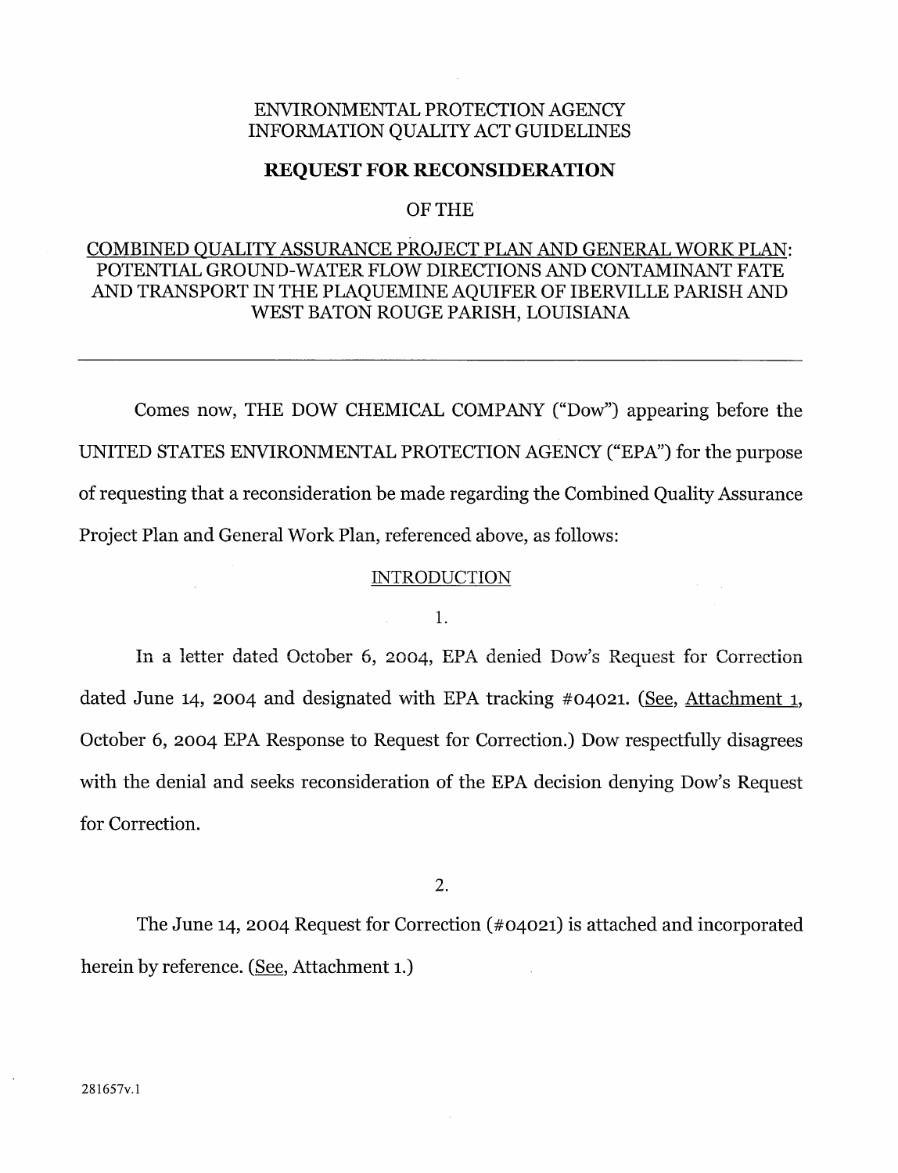### ENVIRONMENTAL PROTECTION AGENCY INFORMATION QUALITY ACT GUIDELINES

#### **REQUEST FOR RECONSIDERATION**

#### OF THE

## COMBINED QUALITY ASSURANCE PROJECT PLAN AND GENERAL WORK PLAN: POTENTIAL GROUND-WATER FLOW DIRECTIONS AND CONTAMINANT FATE AND TRANSPORT IN THE PLAQUEMINE AQUIFER OF IBERVILLE PARISH AND WEST BATON ROUGE PARISH, LOUISIANA

Comes now, THE DOW CHEMICAL COMPANY ("Dow") appearing before the UNITED STATES ENVIRONMENTAL PROTECTION AGENCY ("EPA") for the purpose of requesting that a reconsideration be made regarding the Combined Quality Assurance Project Plan and General Work Plan, referenced above, as follows:

#### **INTRODUCTION**

#### 1.

In a letter dated October 6, 2004, EPA denied Dow's Request for Correction dated June 14, 2004 and designated with EPA tracking #04021. (See, Attachment 1, October 6, 2004 EPA Response to Request for Correction.) Dow respectfully disagrees with the denial and seeks reconsideration of the EPA decision denying Dow's Request for Correction.

2.

The June 14, 2004 Request for Correction (#04021) is attached and incorporated herein by reference. (See, Attachment 1.)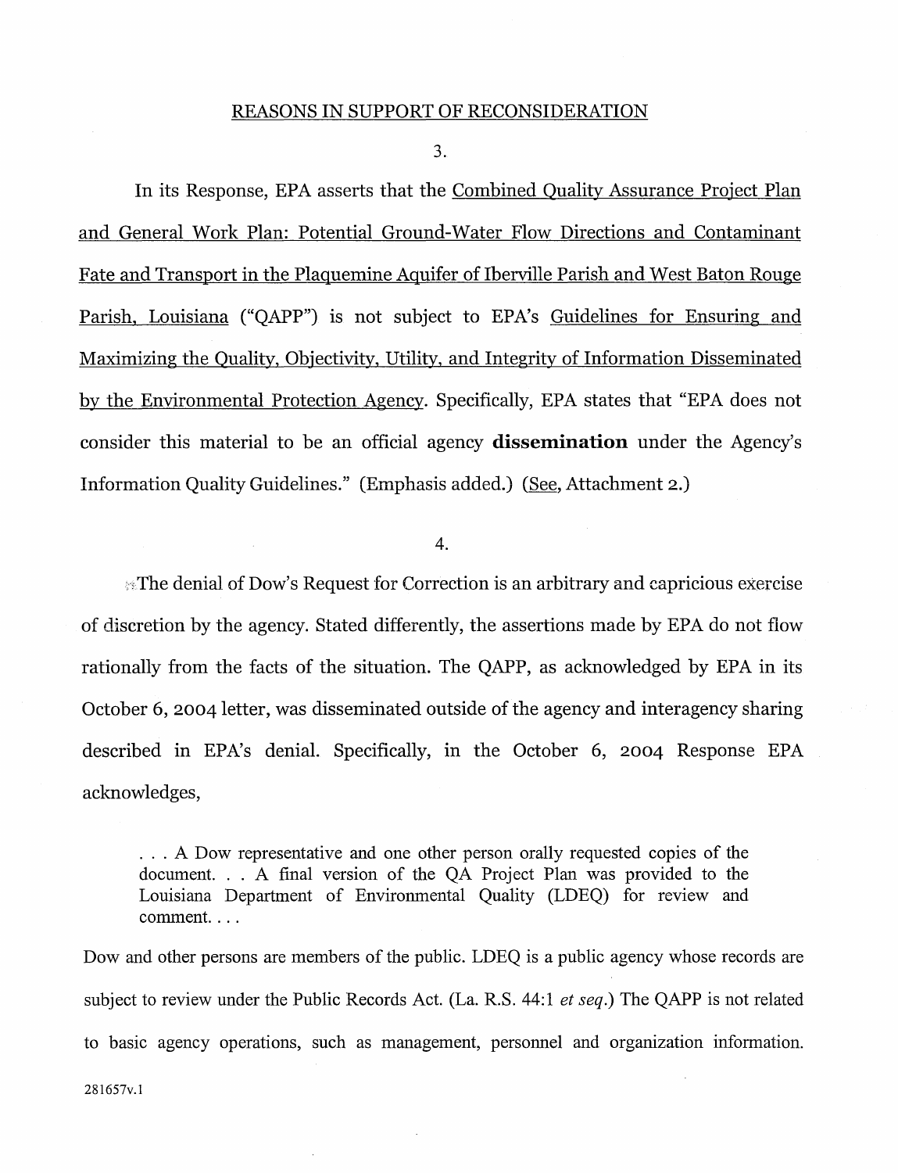3.

In its Response, EPA asserts that the Combined Quality Assurance Project Plan and General Work Plan: Potential Ground-Water Flow Directions and Contaminant Fate and Transport in the Plaquemine Aquifer of Iberville Parish and West Baton Rouge Parish, Louisiana ("QAPP") is not subject to EPA's Guidelines for Ensuring and Maximizing the Quality, Objectivity, Utility, and Integrity of Information Disseminated by the Environmental Protection Agency. Specifically, EPA states that "EPA does not consider this material to be an official agency **dissemination** under the Agency's Information Quality Guidelines." (Emphasis added.) (See, Attachment 2.)

4.

If The denial of Dow's Request for Correction is an arbitrary and capricious exercise of discretion by the agency. Stated differently, the assertions made by EPA do not flow rationally from the facts of the situation. The QAPP, as acknowledged by EPA in its October 6, 2004 letter, was disseminated outside of the agency and interagency sharing described in EPA's denial. Specifically, in the October 6, 2004 Response EPA acknowledges,

... A Dow representative and one other person orally requested copies of the document. .. A final version of the QA Project Plan was provided to the Louisiana Department of Environmental Quality (LDEQ) for review and comment. ...

Dow and other persons are members of the public. LDEQ is a public agency whose records are subject to review under the Public Records Act. (La. R.S. 44:1 *et seq.)* The QAPP is not related to basic agency operations, such as management, personnel and organization information.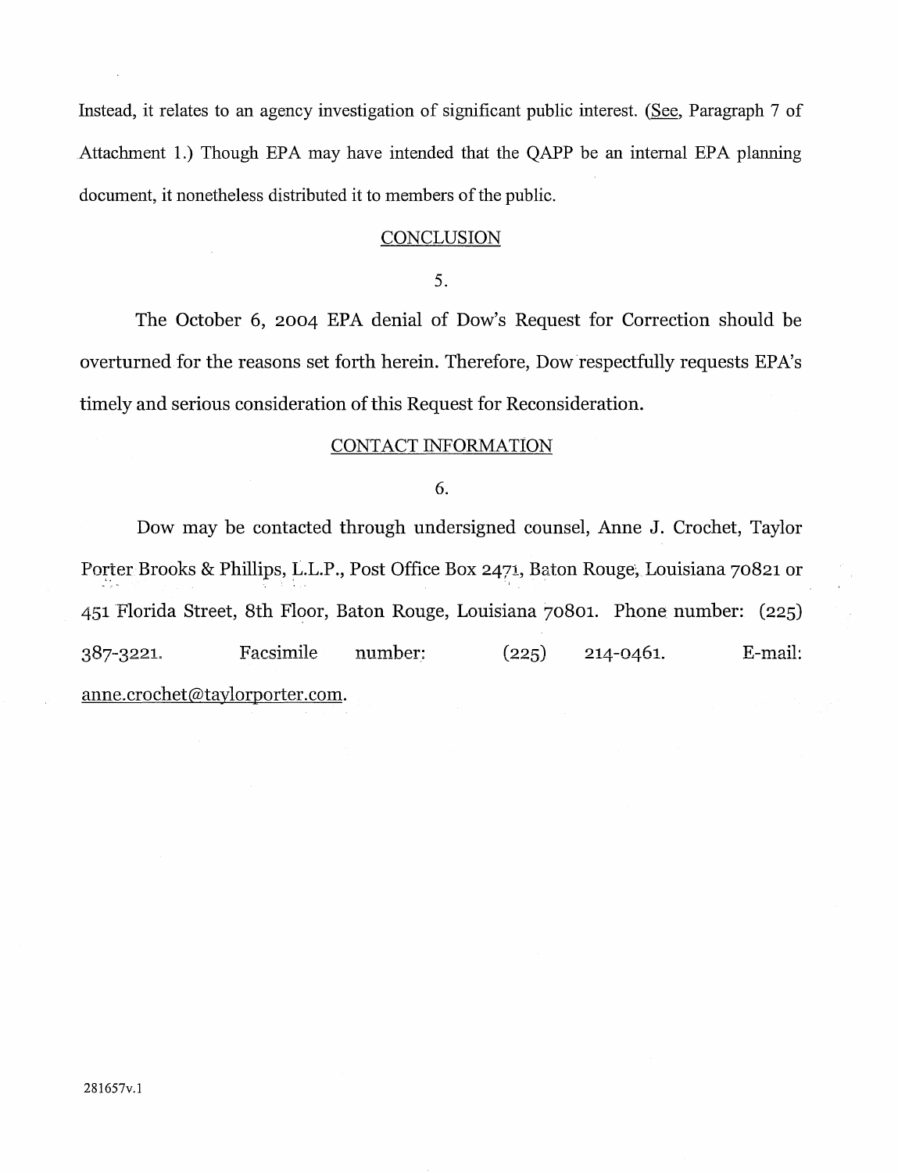Instead, it relates to an agency investigation of significant public interest. (See, Paragraph 7 of Attachment 1.) Though EPA may have intended that the QAPP be an internal EPA planning document, it nonetheless distributed it to members of the public.

#### **CONCLUSION**

5.

The October 6, 2004 EPA denial of Dow's Request for Correction should be overturned for the reasons set forth herein. Therefore, Dow.respectfully requests EPA's timely and serious consideration of this Request for Reconsideration.

#### CONTACT INFORMATION

#### 6.

Dow may be contacted through undersigned counsel, Anne J. Crochet, Taylor Porter Brooks & Phillips, L.L.P., Post Office Box 2471, Baton Rouge, Louisiana 70821 or <sup>~</sup>• ~ • • l 451 Florida Street, 8th Floor, Baton Rouge, Louisiana 70801. Phone number: (225) Facsimile number:  $(225)$  214-0461. E-mail: 387-3221. [anne.crochet@taylorporter.com](mailto:anne.crochet@taylorporter.com).